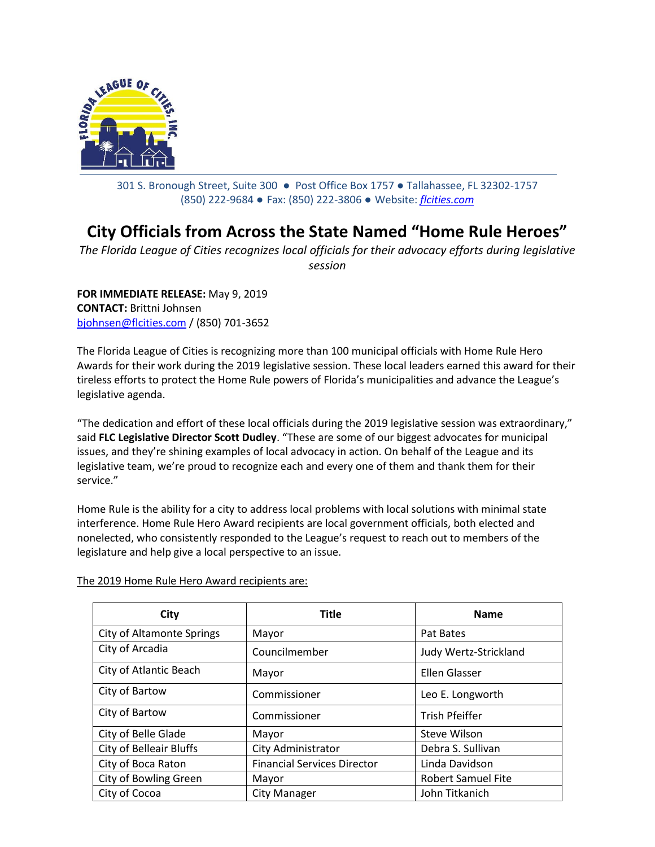

301 S. Bronough Street, Suite 300 ● Post Office Box 1757 ● Tallahassee, FL 32302-1757 (850) 222-9684 ● Fax: (850) 222-3806 ● Website: *[flcities.com](http://www.flcities.com/)*

## **City Officials from Across the State Named "Home Rule Heroes"**

*The Florida League of Cities recognizes local officials for their advocacy efforts during legislative session*

**FOR IMMEDIATE RELEASE:** May 9, 2019 **CONTACT:** Brittni Johnsen [bjohnsen@flcities.com](mailto:bjohnsen@flcities.com) / (850) 701-3652

The Florida League of Cities is recognizing more than 100 municipal officials with Home Rule Hero Awards for their work during the 2019 legislative session. These local leaders earned this award for their tireless efforts to protect the Home Rule powers of Florida's municipalities and advance the League's legislative agenda.

"The dedication and effort of these local officials during the 2019 legislative session was extraordinary," said **FLC Legislative Director Scott Dudley**. "These are some of our biggest advocates for municipal issues, and they're shining examples of local advocacy in action. On behalf of the League and its legislative team, we're proud to recognize each and every one of them and thank them for their service."

Home Rule is the ability for a city to address local problems with local solutions with minimal state interference. Home Rule Hero Award recipients are local government officials, both elected and nonelected, who consistently responded to the League's request to reach out to members of the legislature and help give a local perspective to an issue.

| City                             | <b>Title</b>                       | <b>Name</b>               |
|----------------------------------|------------------------------------|---------------------------|
| <b>City of Altamonte Springs</b> | Mayor                              | Pat Bates                 |
| City of Arcadia                  | Councilmember                      | Judy Wertz-Strickland     |
| City of Atlantic Beach           | Mayor                              | Ellen Glasser             |
| City of Bartow                   | Commissioner                       | Leo E. Longworth          |
| City of Bartow                   | Commissioner                       | <b>Trish Pfeiffer</b>     |
| City of Belle Glade              | Mayor                              | Steve Wilson              |
| <b>City of Belleair Bluffs</b>   | City Administrator                 | Debra S. Sullivan         |
| City of Boca Raton               | <b>Financial Services Director</b> | Linda Davidson            |
| City of Bowling Green            | Mayor                              | <b>Robert Samuel Fite</b> |
| City of Cocoa                    | City Manager                       | John Titkanich            |

The 2019 Home Rule Hero Award recipients are: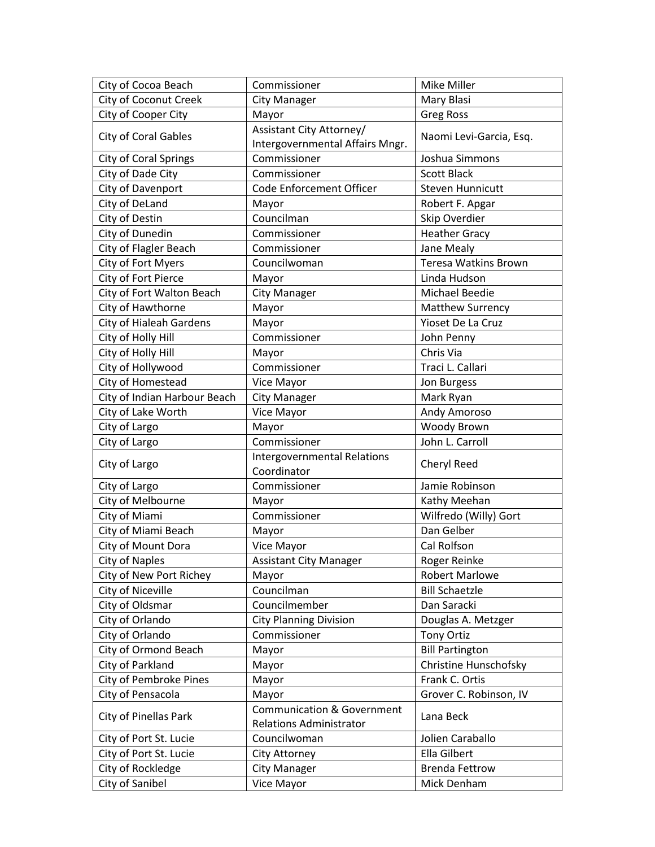| City of Cocoa Beach           | Commissioner                          | <b>Mike Miller</b>      |
|-------------------------------|---------------------------------------|-------------------------|
| <b>City of Coconut Creek</b>  | <b>City Manager</b>                   | Mary Blasi              |
| City of Cooper City           | Mayor                                 | <b>Greg Ross</b>        |
| <b>City of Coral Gables</b>   | Assistant City Attorney/              | Naomi Levi-Garcia, Esq. |
|                               | Intergovernmental Affairs Mngr.       |                         |
| <b>City of Coral Springs</b>  | Commissioner                          | Joshua Simmons          |
| City of Dade City             | Commissioner                          | <b>Scott Black</b>      |
| City of Davenport             | Code Enforcement Officer              | <b>Steven Hunnicutt</b> |
| City of DeLand                | Mayor                                 | Robert F. Apgar         |
| City of Destin                | Councilman                            | Skip Overdier           |
| City of Dunedin               | Commissioner                          | <b>Heather Gracy</b>    |
| City of Flagler Beach         | Commissioner                          | Jane Mealy              |
| City of Fort Myers            | Councilwoman                          | Teresa Watkins Brown    |
| City of Fort Pierce           | Mayor                                 | Linda Hudson            |
| City of Fort Walton Beach     | <b>City Manager</b>                   | <b>Michael Beedie</b>   |
| City of Hawthorne             | Mayor                                 | <b>Matthew Surrency</b> |
| City of Hialeah Gardens       | Mayor                                 | Yioset De La Cruz       |
| City of Holly Hill            | Commissioner                          | John Penny              |
| City of Holly Hill            | Mayor                                 | Chris Via               |
| City of Hollywood             | Commissioner                          | Traci L. Callari        |
| City of Homestead             | Vice Mayor                            | Jon Burgess             |
| City of Indian Harbour Beach  | <b>City Manager</b>                   | Mark Ryan               |
| City of Lake Worth            | Vice Mayor                            | Andy Amoroso            |
| City of Largo                 | Mayor                                 | Woody Brown             |
| City of Largo                 | Commissioner                          | John L. Carroll         |
|                               | Intergovernmental Relations           |                         |
| City of Largo                 | Coordinator                           | Cheryl Reed             |
| City of Largo                 | Commissioner                          | Jamie Robinson          |
| City of Melbourne             | Mayor                                 | Kathy Meehan            |
| City of Miami                 | Commissioner                          | Wilfredo (Willy) Gort   |
| City of Miami Beach           | Mayor                                 | Dan Gelber              |
| City of Mount Dora            | Vice Mayor                            | Cal Rolfson             |
| City of Naples                | Assistant City Manager                | Roger Reinke            |
| City of New Port Richey       | Mayor                                 | <b>Robert Marlowe</b>   |
| City of Niceville             | Councilman                            | <b>Bill Schaetzle</b>   |
| City of Oldsmar               | Councilmember                         | Dan Saracki             |
| City of Orlando               | <b>City Planning Division</b>         | Douglas A. Metzger      |
| City of Orlando               | Commissioner                          | <b>Tony Ortiz</b>       |
| City of Ormond Beach          | Mayor                                 | <b>Bill Partington</b>  |
| City of Parkland              | Mayor                                 | Christine Hunschofsky   |
| <b>City of Pembroke Pines</b> | Mayor                                 | Frank C. Ortis          |
| City of Pensacola             | Mayor                                 | Grover C. Robinson, IV  |
| City of Pinellas Park         | <b>Communication &amp; Government</b> |                         |
|                               | <b>Relations Administrator</b>        | Lana Beck               |
| City of Port St. Lucie        | Councilwoman                          | Jolien Caraballo        |
| City of Port St. Lucie        | <b>City Attorney</b>                  | <b>Ella Gilbert</b>     |
| City of Rockledge             | <b>City Manager</b>                   | <b>Brenda Fettrow</b>   |
| City of Sanibel               | Vice Mayor                            | Mick Denham             |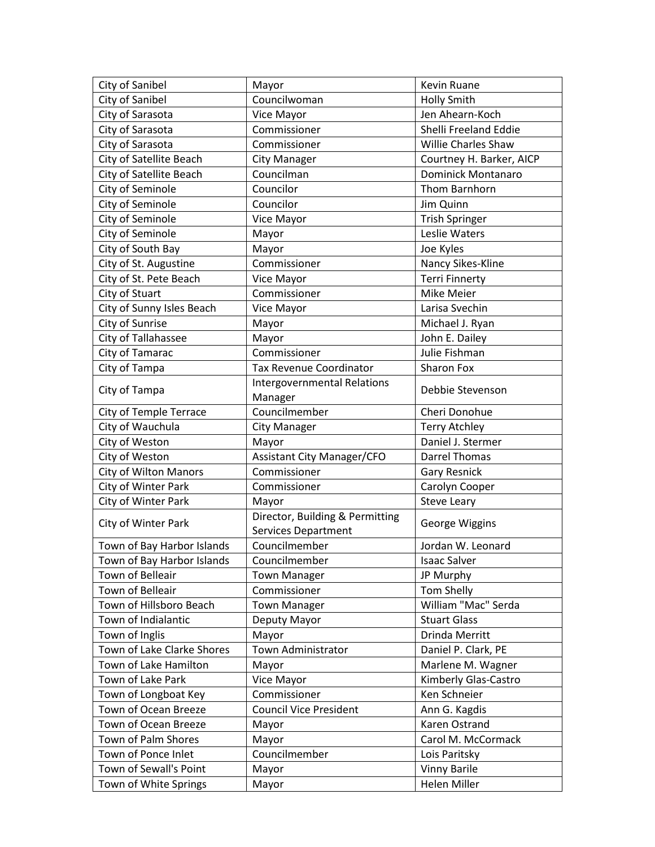| City of Sanibel               | Mayor                                                         | Kevin Ruane               |
|-------------------------------|---------------------------------------------------------------|---------------------------|
| City of Sanibel               | Councilwoman                                                  | <b>Holly Smith</b>        |
| City of Sarasota              | Vice Mayor                                                    | Jen Ahearn-Koch           |
| City of Sarasota              | Commissioner                                                  | Shelli Freeland Eddie     |
| City of Sarasota              | Commissioner                                                  | Willie Charles Shaw       |
| City of Satellite Beach       | <b>City Manager</b>                                           | Courtney H. Barker, AICP  |
| City of Satellite Beach       | Councilman                                                    | <b>Dominick Montanaro</b> |
| City of Seminole              | Councilor                                                     | Thom Barnhorn             |
| City of Seminole              | Councilor                                                     | Jim Quinn                 |
| City of Seminole              | Vice Mayor                                                    | <b>Trish Springer</b>     |
| City of Seminole              | Mayor                                                         | Leslie Waters             |
| City of South Bay             | Mayor                                                         | Joe Kyles                 |
| City of St. Augustine         | Commissioner                                                  | Nancy Sikes-Kline         |
| City of St. Pete Beach        | Vice Mayor                                                    | <b>Terri Finnerty</b>     |
| City of Stuart                | Commissioner                                                  | Mike Meier                |
| City of Sunny Isles Beach     | Vice Mayor                                                    | Larisa Svechin            |
| City of Sunrise               | Mayor                                                         | Michael J. Ryan           |
| City of Tallahassee           | Mayor                                                         | John E. Dailey            |
| City of Tamarac               | Commissioner                                                  | Julie Fishman             |
| City of Tampa                 | Tax Revenue Coordinator                                       | Sharon Fox                |
| City of Tampa                 | Intergovernmental Relations<br>Manager                        | Debbie Stevenson          |
| <b>City of Temple Terrace</b> | Councilmember                                                 | Cheri Donohue             |
| City of Wauchula              | <b>City Manager</b>                                           | <b>Terry Atchley</b>      |
| City of Weston                | Mayor                                                         | Daniel J. Stermer         |
| City of Weston                | <b>Assistant City Manager/CFO</b>                             | <b>Darrel Thomas</b>      |
| <b>City of Wilton Manors</b>  | Commissioner                                                  | <b>Gary Resnick</b>       |
| City of Winter Park           | Commissioner                                                  | Carolyn Cooper            |
| City of Winter Park           | Mayor                                                         | <b>Steve Leary</b>        |
| City of Winter Park           | Director, Building & Permitting<br><b>Services Department</b> | George Wiggins            |
| Town of Bay Harbor Islands    | Councilmember                                                 | Jordan W. Leonard         |
| Town of Bay Harbor Islands    | Councilmember                                                 | <b>Isaac Salver</b>       |
| Town of Belleair              | <b>Town Manager</b>                                           | JP Murphy                 |
| Town of Belleair              | Commissioner                                                  | Tom Shelly                |
| Town of Hillsboro Beach       | <b>Town Manager</b>                                           | William "Mac" Serda       |
| Town of Indialantic           | Deputy Mayor                                                  | <b>Stuart Glass</b>       |
| Town of Inglis                | Mayor                                                         | Drinda Merritt            |
| Town of Lake Clarke Shores    | Town Administrator                                            | Daniel P. Clark, PE       |
| Town of Lake Hamilton         | Mayor                                                         | Marlene M. Wagner         |
| Town of Lake Park             | Vice Mayor                                                    | Kimberly Glas-Castro      |
| Town of Longboat Key          | Commissioner                                                  | Ken Schneier              |
| Town of Ocean Breeze          | <b>Council Vice President</b>                                 | Ann G. Kagdis             |
| Town of Ocean Breeze          | Mayor                                                         | Karen Ostrand             |
| Town of Palm Shores           | Mayor                                                         | Carol M. McCormack        |
| Town of Ponce Inlet           | Councilmember                                                 | Lois Paritsky             |
| Town of Sewall's Point        | Mayor                                                         | <b>Vinny Barile</b>       |
| Town of White Springs         | Mayor                                                         | Helen Miller              |